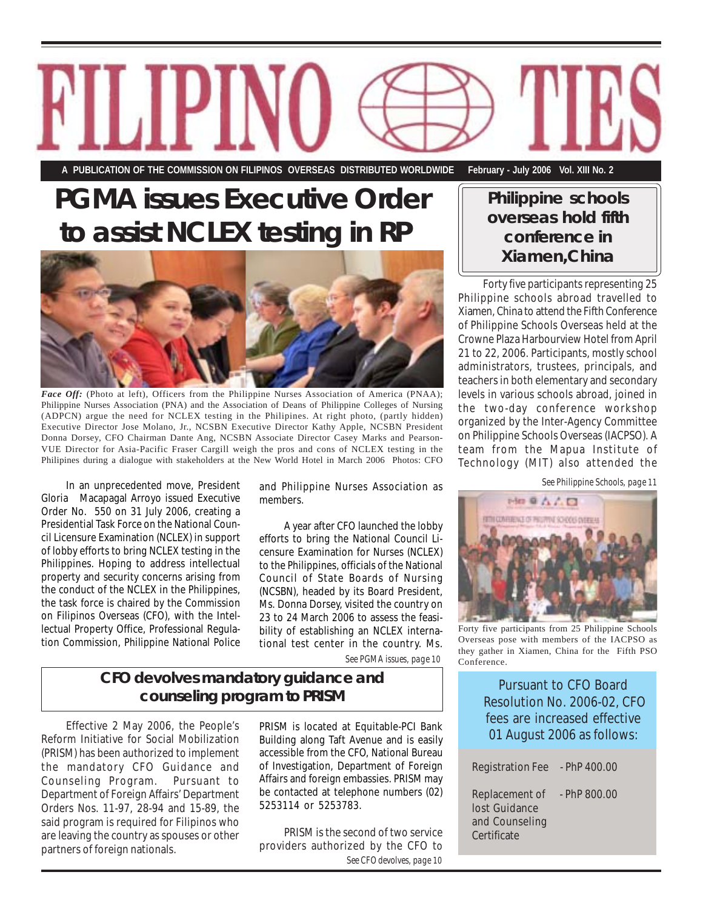*website:* http://www.cfo.gov.ph **A PUBLICATION OF THE COMMISSION ON FILIPINOS OVERSEAS DISTRIBUTED WORLDWIDE February - July 2006 Vol. XIII No. 2**

### **PGMA issues Executive Order to assist NCLEX testing in RP**



*Face Off:* (Photo at left), Officers from the Philippine Nurses Association of America (PNAA); Philippine Nurses Association (PNA) and the Association of Deans of Philippine Colleges of Nursing (ADPCN) argue the need for NCLEX testing in the Philipines. At right photo, (partly hidden) Executive Director Jose Molano, Jr., NCSBN Executive Director Kathy Apple, NCSBN President Donna Dorsey, CFO Chairman Dante Ang, NCSBN Associate Director Casey Marks and Pearson-VUE Director for Asia-Pacific Fraser Cargill weigh the pros and cons of NCLEX testing in the Philipines during a dialogue with stakeholders at the New World Hotel in March 2006 Photos: CFO

In an unprecedented move, President Gloria Macapagal Arroyo issued Executive Order No. 550 on 31 July 2006, creating a Presidential Task Force on the National Council Licensure Examination (NCLEX) in support of lobby efforts to bring NCLEX testing in the Philippines. Hoping to address intellectual property and security concerns arising from the conduct of the NCLEX in the Philippines, the task force is chaired by the Commission on Filipinos Overseas (CFO), with the Intellectual Property Office, Professional Regulation Commission, Philippine National Police

RITJIPI

and Philippine Nurses Association as members.

A year after CFO launched the lobby efforts to bring the National Council Licensure Examination for Nurses (NCLEX) to the Philippines, officials of the National Council of State Boards of Nursing (NCSBN), headed by its Board President, Ms. Donna Dorsey, visited the country on 23 to 24 March 2006 to assess the feasibility of establishing an NCLEX international test center in the country. Ms.

*See PGMA issues, page 10*

#### **CFO devolves mandatory guidance and counseling program to PRISM**

Effective 2 May 2006, the People's Reform Initiative for Social Mobilization (PRISM) has been authorized to implement the mandatory CFO Guidance and Counseling Program. Pursuant to Department of Foreign Affairs' Department Orders Nos. 11-97, 28-94 and 15-89, the said program is required for Filipinos who are leaving the country as spouses or other partners of foreign nationals.

PRISM is located at Equitable-PCI Bank Building along Taft Avenue and is easily accessible from the CFO, National Bureau of Investigation, Department of Foreign Affairs and foreign embassies. PRISM may be contacted at telephone numbers (02) 5253114 or 5253783.

*See CFO devolves, page 10* PRISM is the second of two service providers authorized by the CFO to

#### **Philippine schools overseas hold fifth conference in Xiamen,China**

Forty five participants representing 25 Philippine schools abroad travelled to Xiamen, China to attend the Fifth Conference of Philippine Schools Overseas held at the Crowne Plaza Harbourview Hotel from April 21 to 22, 2006. Participants, mostly school administrators, trustees, principals, and teachers in both elementary and secondary levels in various schools abroad, joined in the two-day conference workshop organized by the Inter-Agency Committee on Philippine Schools Overseas (IACPSO). A team from the Mapua Institute of Technology (MIT) also attended the

*See Philippine Schools, page 11*



Forty five participants from 25 Philippine Schools Overseas pose with members of the IACPSO as they gather in Xiamen, China for the Fifth PSO Conference.

Pursuant to CFO Board Resolution No. 2006-02, CFO fees are increased effective 01 August 2006 as follows:

| <b>Registration Fee</b>                                          | $-$ PhP 400.00 |
|------------------------------------------------------------------|----------------|
| Replacement of<br>lost Guidance<br>and Counseling<br>Certificate | $-$ PhP 800.00 |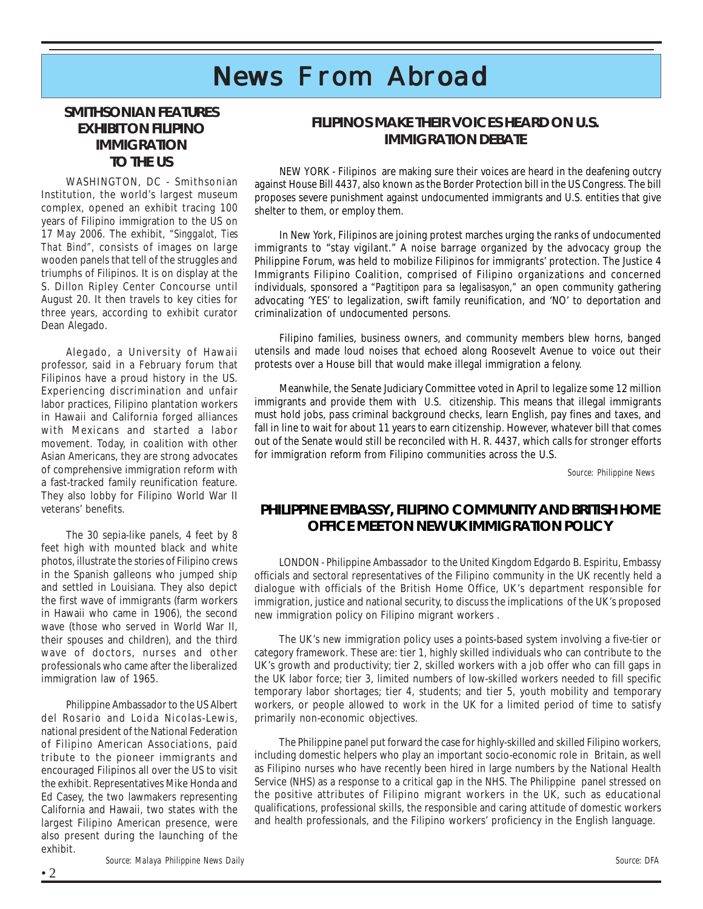### $N$ ews From Abroad

#### **SMITHSONIAN FEATURES EXHIBIT ON FILIPINO IMMIGRATION TO THE US**

WASHINGTON, DC - Smithsonian Institution, the world's largest museum complex, opened an exhibit tracing 100 years of Filipino immigration to the US on 17 May 2006. The exhibit, *"Singgalot, Ties That Bind",* consists of images on large wooden panels that tell of the struggles and triumphs of Filipinos. It is on display at the S. Dillon Ripley Center Concourse until August 20. It then travels to key cities for three years, according to exhibit curator Dean Alegado.

Alegado, a University of Hawaii professor, said in a February forum that Filipinos have a proud history in the US. Experiencing discrimination and unfair labor practices, Filipino plantation workers in Hawaii and California forged alliances with Mexicans and started a labor movement. Today, in coalition with other Asian Americans, they are strong advocates of comprehensive immigration reform with a fast-tracked family reunification feature. They also lobby for Filipino World War II veterans' benefits.

The 30 sepia-like panels, 4 feet by 8 feet high with mounted black and white photos, illustrate the stories of Filipino crews in the Spanish galleons who jumped ship and settled in Louisiana. They also depict the first wave of immigrants (farm workers in Hawaii who came in 1906), the second wave (those who served in World War II, their spouses and children), and the third wave of doctors, nurses and other professionals who came after the liberalized immigration law of 1965.

Philippine Ambassador to the US Albert del Rosario and Loida Nicolas-Lewis, national president of the National Federation of Filipino American Associations, paid tribute to the pioneer immigrants and encouraged Filipinos all over the US to visit the exhibit. Representatives Mike Honda and Ed Casey, the two lawmakers representing California and Hawaii, two states with the largest Filipino American presence, were also present during the launching of the exhibit.

#### **FILIPINOS MAKE THEIR VOICES HEARD ON U.S. IMMIGRATION DEBATE**

NEW YORK - Filipinos are making sure their voices are heard in the deafening outcry against House Bill 4437, also known as the Border Protection bill in the US Congress. The bill proposes severe punishment against undocumented immigrants and U.S. entities that give shelter to them, or employ them.

In New York, Filipinos are joining protest marches urging the ranks of undocumented immigrants to "stay vigilant." A noise barrage organized by the advocacy group the Philippine Forum, was held to mobilize Filipinos for immigrants' protection. The Justice 4 Immigrants Filipino Coalition, comprised of Filipino organizations and concerned individuals, sponsored a *"Pagtitipon para sa legalisasyon,"* an open community gathering advocating 'YES' to legalization, swift family reunification, and 'NO' to deportation and criminalization of undocumented persons.

Filipino families, business owners, and community members blew horns, banged utensils and made loud noises that echoed along Roosevelt Avenue to voice out their protests over a House bill that would make illegal immigration a felony.

Meanwhile, the Senate Judiciary Committee voted in April to legalize some 12 million immigrants and provide them with *U.S. citizenship*. This means that illegal immigrants must hold jobs, pass criminal background checks, learn English, pay fines and taxes, and fall in line to wait for about 11 years to earn citizenship. However, whatever bill that comes out of the Senate would still be reconciled with H. R. 4437, which calls for stronger efforts for immigration reform from Filipino communities across the U.S.

 *Source: Philippine News*

#### **PHILIPPINE EMBASSY, FILIPINO COMMUNITY AND BRITISH HOME OFFICE MEET ON NEW UK IMMIGRATION POLICY**

immigration, justice and national security, to discuss the implications of the UK's proposed LONDON - Philippine Ambassador to the United Kingdom Edgardo B. Espiritu, Embassy officials and sectoral representatives of the Filipino community in the UK recently held a dialogue with officials of the British Home Office, UK's department responsible for new immigration policy on Filipino migrant workers .

category framework. These are: tier 1, highly skilled individuals who can contribute to the The UK's new immigration policy uses a points-based system involving a five-tier or UK's growth and productivity; tier 2, skilled workers with a job offer who can fill gaps in the UK labor force; tier 3, limited numbers of low-skilled workers needed to fill specific temporary labor shortages; tier 4, students; and tier 5, youth mobility and temporary workers, or people allowed to work in the UK for a limited period of time to satisfy primarily non-economic objectives.

The Philippine panel put forward the case for highly-skilled and skilled Filipino workers, including domestic helpers who play an important socio-economic role in Britain, as well as Filipino nurses who have recently been hired in large numbers by the National Health Service (NHS) as a response to a critical gap in the NHS. The Philippine panel stressed on the positive attributes of Filipino migrant workers in the UK, such as educational qualifications, professional skills, the responsible and caring attitude of domestic workers and health professionals, and the Filipino workers' proficiency in the English language.

 *Source: Malaya Philippine News Daily*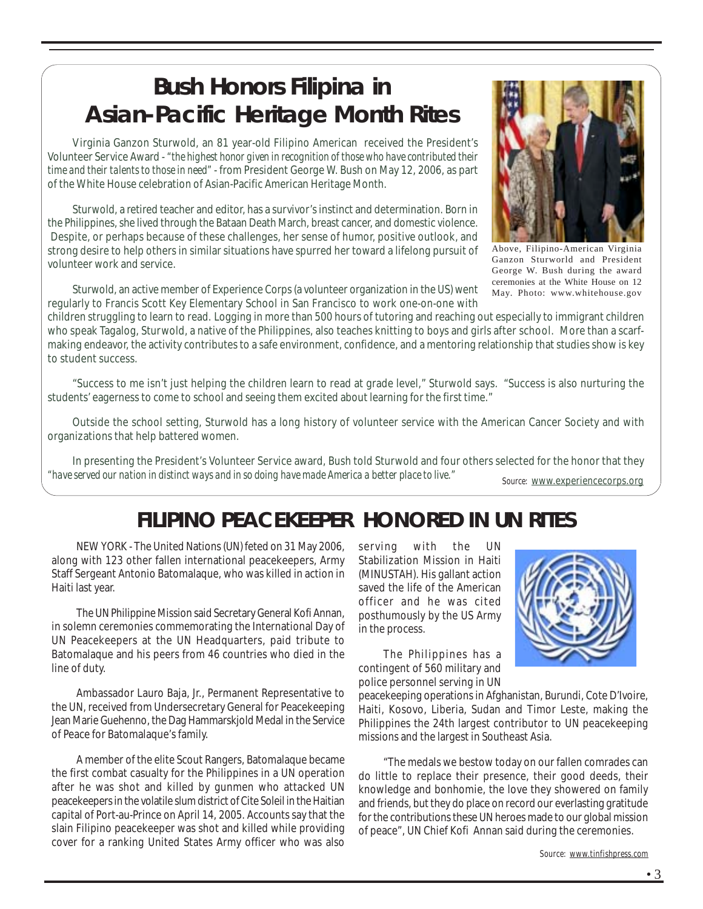### **Bush Honors Filipina in Asian-Pacific Heritage Month Rites**

Virginia Ganzon Sturwold, an 81 year-old Filipino American received the President's Volunteer Service Award - *"the highest honor given in recognition of those who have contributed their time and their talents to those in need"* - from President George W. Bush on May 12, 2006, as part of the White House celebration of Asian-Pacific American Heritage Month.

Sturwold, a retired teacher and editor, has a survivor's instinct and determination. Born in the Philippines, she lived through the Bataan Death March, breast cancer, and domestic violence. Despite, or perhaps because of these challenges, her sense of humor, positive outlook, and strong desire to help others in similar situations have spurred her toward a lifelong pursuit of volunteer work and service.

Sturwold, an active member of Experience Corps (a volunteer organization in the US) went regularly to Francis Scott Key Elementary School in San Francisco to work one-on-one with

children struggling to learn to read. Logging in more than 500 hours of tutoring and reaching out especially to immigrant children who speak Tagalog, Sturwold, a native of the Philippines, also teaches knitting to boys and girls after school. More than a scarfmaking endeavor, the activity contributes to a safe environment, confidence, and a mentoring relationship that studies show is key to student success.

"Success to me isn't just helping the children learn to read at grade level," Sturwold says. "Success is also nurturing the students' eagerness to come to school and seeing them excited about learning for the first time."

Outside the school setting, Sturwold has a long history of volunteer service with the American Cancer Society and with organizations that help battered women.

*Source:* www.experiencecorps.org In presenting the President's Volunteer Service award, Bush told Sturwold and four others selected for the honor that they *"have served our nation in distinct ways and in so doing have made America a better place to live."*

### **FILIPINO PEACEKEEPER HONORED IN UN RITES**

NEW YORK - The United Nations (UN) feted on 31 May 2006, along with 123 other fallen international peacekeepers, Army Staff Sergeant Antonio Batomalaque, who was killed in action in Haiti last year.

The UN Philippine Mission said Secretary General Kofi Annan, in solemn ceremonies commemorating the International Day of UN Peacekeepers at the UN Headquarters, paid tribute to Batomalaque and his peers from 46 countries who died in the line of duty.

Ambassador Lauro Baja, Jr., Permanent Representative to the UN, received from Undersecretary General for Peacekeeping Jean Marie Guehenno, the Dag Hammarskjold Medal in the Service of Peace for Batomalaque's family.

A member of the elite Scout Rangers, Batomalaque became the first combat casualty for the Philippines in a UN operation after he was shot and killed by gunmen who attacked UN peacekeepers in the volatile slum district of Cite Soleil in the Haitian capital of Port-au-Prince on April 14, 2005. Accounts say that the slain Filipino peacekeeper was shot and killed while providing cover for a ranking United States Army officer who was also

serving with the UN Stabilization Mission in Haiti (MINUSTAH). His gallant action saved the life of the American officer and he was cited posthumously by the US Army in the process.

The Philippines has a contingent of 560 military and police personnel serving in UN

peacekeeping operations in Afghanistan, Burundi, Cote D'Ivoire, Haiti, Kosovo, Liberia, Sudan and Timor Leste, making the Philippines the 24th largest contributor to UN peacekeeping missions and the largest in Southeast Asia.

"The medals we bestow today on our fallen comrades can do little to replace their presence, their good deeds, their knowledge and bonhomie, the love they showered on family and friends, but they do place on record our everlasting gratitude for the contributions these UN heroes made to our global mission of peace", UN Chief Kofi Annan said during the ceremonies.

*Source: www.tinfishpress.com*

Above, Filipino-American Virginia Ganzon Sturworld and President George W. Bush during the award ceremonies at the White House on 12 May. Photo: www.whitehouse.gov



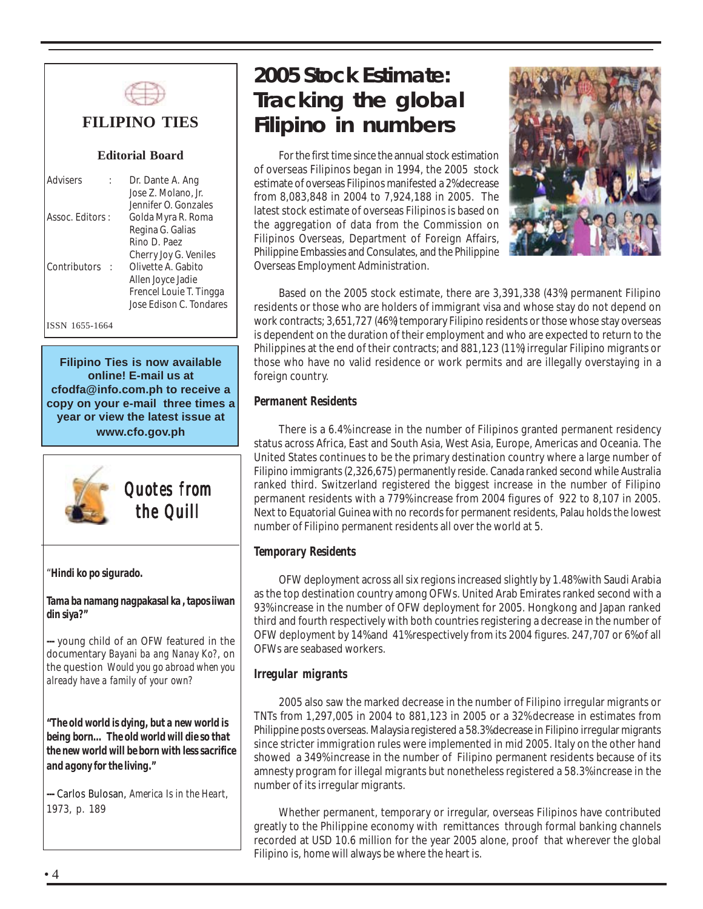

#### **FILIPINO TIES**

#### **Editorial Board**

| Advisers         | Dr. Dante A. Ang<br>Jose Z. Molano, Jr.                        |
|------------------|----------------------------------------------------------------|
| Assoc. Editors : | Jennifer O. Gonzales<br>Golda Myra R. Roma<br>Regina G. Galias |
|                  | Rino D. Paez<br>Cherry Joy G. Veniles                          |
| Contributors     | Olivette A. Gabito<br>Allen Joyce Jadie                        |
|                  | Frencel Louie T. Tingga<br>Jose Edison C. Tondares             |

ISSN 1655-1664

**Filipino Ties is now available online! E-mail us at cfodfa@info.com.ph to receive a copy on your e-mail three times a year or view the latest issue at www.cfo.gov.ph**



*Quotes from the Quill the Quill the* 

"*Hindi ko po sigurado.*

*Tama ba namang nagpakasal ka , tapos iiwan din siya?"*

*---* young child of an OFW featured in the documentary *Bayani ba ang Nanay Ko?*, on the question *Would you go abroad when you already have a family of your own?*

*"The old world is dying, but a new world is being born… The old world will die so that the new world will be born with less sacrifice and agony for the living."*

*---* Carlos Bulosan, *America Is in the Heart*, 1973, p. 189

### *2005 Stock Estimate:* **Tracking the global Filipino in numbers**

For the first time since the annual stock estimation of overseas Filipinos began in 1994, the 2005 stock estimate of overseas Filipinos manifested a 2% decrease from 8,083,848 in 2004 to 7,924,188 in 2005. The latest stock estimate of overseas Filipinos is based on the aggregation of data from the Commission on Filipinos Overseas, Department of Foreign Affairs, Philippine Embassies and Consulates, and the Philippine Overseas Employment Administration.



Based on the 2005 stock estimate, there are 3,391,338 (43%) permanent Filipino residents or those who are holders of immigrant visa and whose stay do not depend on work contracts; 3,651,727 (46%) temporary Filipino residents or those whose stay overseas is dependent on the duration of their employment and who are expected to return to the Philippines at the end of their contracts; and 881,123 (11%) irregular Filipino migrants or those who have no valid residence or work permits and are illegally overstaying in a foreign country.

#### *Permanent Residents*

There is a 6.4% increase in the number of Filipinos granted permanent residency status across Africa, East and South Asia, West Asia, Europe, Americas and Oceania. The United States continues to be the primary destination country where a large number of Filipino immigrants (2,326,675) permanently reside. Canada ranked second while Australia ranked third. Switzerland registered the biggest increase in the number of Filipino permanent residents with a 779% increase from 2004 figures of 922 to 8,107 in 2005. Next to Equatorial Guinea with no records for permanent residents, Palau holds the lowest number of Filipino permanent residents all over the world at 5.

#### *Temporary Residents*

OFW deployment across all six regions increased slightly by 1.48% with Saudi Arabia as the top destination country among OFWs. United Arab Emirates ranked second with a 93% increase in the number of OFW deployment for 2005. Hongkong and Japan ranked third and fourth respectively with both countries registering a decrease in the number of OFW deployment by 14% and 41% respectively from its 2004 figures. 247,707 or 6% of all OFWs are seabased workers.

#### *Irregular migrants*

2005 also saw the marked decrease in the number of Filipino irregular migrants or TNTs from 1,297,005 in 2004 to 881,123 in 2005 or a 32% decrease in estimates from Philippine posts overseas. Malaysia registered a 58.3% decrease in Filipino irregular migrants since stricter immigration rules were implemented in mid 2005. Italy on the other hand showed a 349% increase in the number of Filipino permanent residents because of its amnesty program for illegal migrants but nonetheless registered a 58.3% increase in the number of its irregular migrants.

Whether permanent, temporary or irregular, overseas Filipinos have contributed greatly to the Philippine economy with remittances through formal banking channels recorded at USD 10.6 million for the year 2005 alone, proof that wherever the global Filipino is, home will always be where the heart is.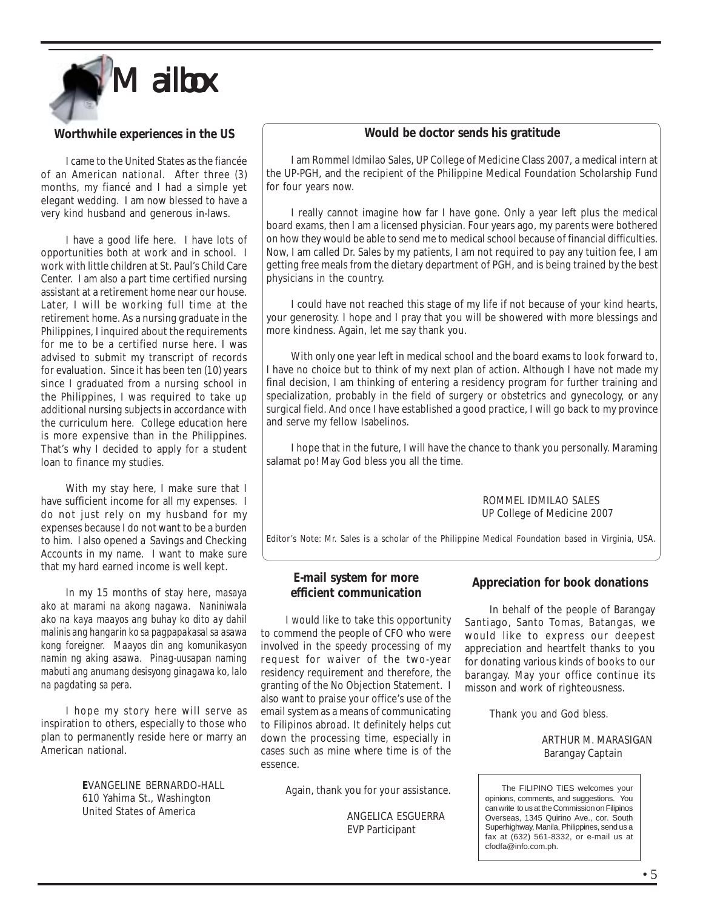

#### **Worthwhile experiences in the US**

I came to the United States as the fiancée of an American national. After three (3) months, my fiancé and I had a simple yet elegant wedding. I am now blessed to have a very kind husband and generous in-laws.

I have a good life here. I have lots of opportunities both at work and in school. I work with little children at St. Paul's Child Care Center. I am also a part time certified nursing assistant at a retirement home near our house. Later, I will be working full time at the retirement home. As a nursing graduate in the Philippines, I inquired about the requirements for me to be a certified nurse here. I was advised to submit my transcript of records for evaluation. Since it has been ten (10) years since I graduated from a nursing school in the Philippines, I was required to take up additional nursing subjects in accordance with the curriculum here. College education here is more expensive than in the Philippines. That's why I decided to apply for a student loan to finance my studies.

With my stay here, I make sure that I have sufficient income for all my expenses. I do not just rely on my husband for my expenses because I do not want to be a burden to him. I also opened a Savings and Checking Accounts in my name. I want to make sure that my hard earned income is well kept.

In my 15 months of stay here, *masaya ako at marami na akong nagawa. Naniniwala ako na kaya maayos ang buhay ko dito ay dahil malinis ang hangarin ko sa pagpapakasal sa asawa kong foreigner. Maayos din ang komunikasyon namin ng aking asawa. Pinag-uusapan naming mabuti ang anumang desisyong ginagawa ko, lalo na pagdating sa pera.*

I hope my story here will serve as inspiration to others, especially to those who plan to permanently reside here or marry an American national.

> **E**VANGELINE BERNARDO-HALL 610 Yahima St., Washington United States of America

#### **Would be doctor sends his gratitude**

I am Rommel Idmilao Sales, UP College of Medicine Class 2007, a medical intern at the UP-PGH, and the recipient of the Philippine Medical Foundation Scholarship Fund for four years now.

I really cannot imagine how far I have gone. Only a year left plus the medical board exams, then I am a licensed physician. Four years ago, my parents were bothered on how they would be able to send me to medical school because of financial difficulties. Now, I am called Dr. Sales by my patients, I am not required to pay any tuition fee, I am getting free meals from the dietary department of PGH, and is being trained by the best physicians in the country.

I could have not reached this stage of my life if not because of your kind hearts, your generosity. I hope and I pray that you will be showered with more blessings and more kindness. Again, let me say thank you.

With only one year left in medical school and the board exams to look forward to, I have no choice but to think of my next plan of action. Although I have not made my final decision, I am thinking of entering a residency program for further training and specialization, probably in the field of surgery or obstetrics and gynecology, or any surgical field. And once I have established a good practice, I will go back to my province and serve my fellow Isabelinos.

**HISTORY** I hope that in the future, I will have the chance to thank you personally. Maraming<br>et nol May Cod bless you ell the time salamat po! May God bless you all the time.

> ROMMEL IDMILAO SALES UP College of Medicine 2007

Editor's Note: Mr. Sales is a scholar of the Philippine Medical Foundation based in Virginia, USA.

#### **E-mail system for more efficient communication**

I would like to take this opportunity to commend the people of CFO who were involved in the speedy processing of my request for waiver of the two-year residency requirement and therefore, the granting of the No Objection Statement. I also want to praise your office's use of the email system as a means of communicating to Filipinos abroad. It definitely helps cut down the processing time, especially in cases such as mine where time is of the essence.

Again, thank you for your assistance.

 ANGELICA ESGUERRA EVP Participant

#### **Appreciation for book donations**

In behalf of the people of Barangay Santiago, Santo Tomas, Batangas, we would like to express our deepest appreciation and heartfelt thanks to you for donating various kinds of books to our barangay. May your office continue its misson and work of righteousness.

Thank you and God bless.

 ARTHUR M. MARASIGAN Barangay Captain

| The FILIPINO TIES welcomes your                |
|------------------------------------------------|
| opinions, comments, and suggestions. You       |
| can write to us at the Commission on Filipinos |
| Overseas, 1345 Quirino Ave., cor. South        |
| Superhighway, Manila, Philippines, send us a   |
| fax at (632) 561-8332, or e-mail us at         |
| cfodfa@info.com.ph.                            |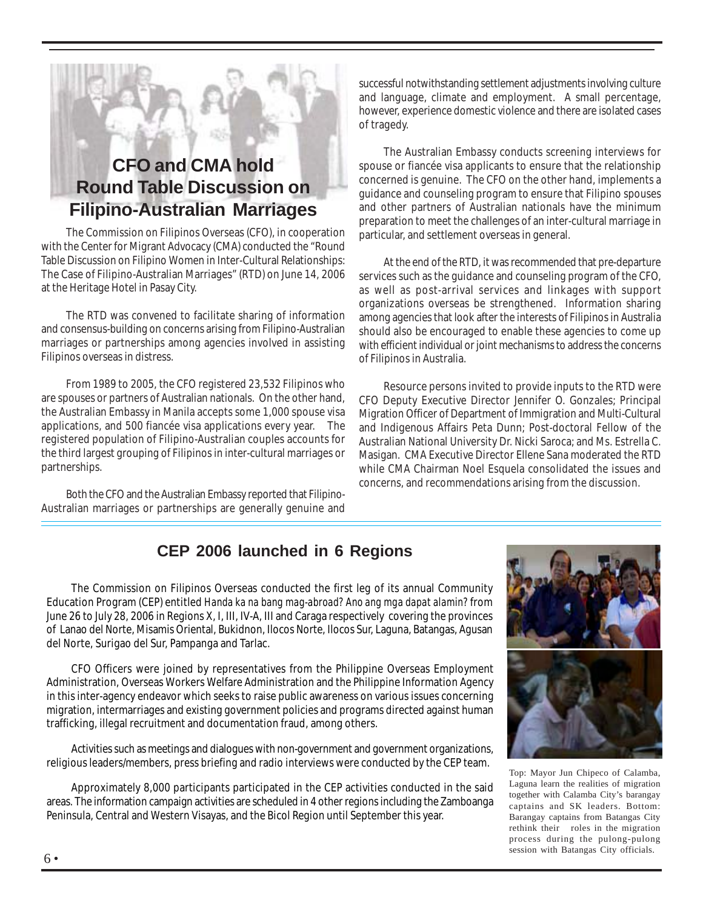### **CFO and CMA hold Round Table Discussion on Filipino-Australian Marriages**

The Commission on Filipinos Overseas (CFO), in cooperation with the Center for Migrant Advocacy (CMA) conducted the "Round Table Discussion on Filipino Women in Inter-Cultural Relationships: The Case of Filipino-Australian Marriages" (RTD) on June 14, 2006 at the Heritage Hotel in Pasay City.

The RTD was convened to facilitate sharing of information and consensus-building on concerns arising from Filipino-Australian marriages or partnerships among agencies involved in assisting Filipinos overseas in distress.

From 1989 to 2005, the CFO registered 23,532 Filipinos who are spouses or partners of Australian nationals. On the other hand, the Australian Embassy in Manila accepts some 1,000 spouse visa applications, and 500 fiancée visa applications every year. The registered population of Filipino-Australian couples accounts for the third largest grouping of Filipinos in inter-cultural marriages or partnerships.

Both the CFO and the Australian Embassy reported that Filipino-Australian marriages or partnerships are generally genuine and successful notwithstanding settlement adjustments involving culture and language, climate and employment. A small percentage, however, experience domestic violence and there are isolated cases of tragedy.

The Australian Embassy conducts screening interviews for spouse or fiancée visa applicants to ensure that the relationship concerned is genuine. The CFO on the other hand, implements a guidance and counseling program to ensure that Filipino spouses and other partners of Australian nationals have the minimum preparation to meet the challenges of an inter-cultural marriage in particular, and settlement overseas in general.

At the end of the RTD, it was recommended that pre-departure services such as the guidance and counseling program of the CFO, as well as post-arrival services and linkages with support organizations overseas be strengthened. Information sharing among agencies that look after the interests of Filipinos in Australia should also be encouraged to enable these agencies to come up with efficient individual or joint mechanisms to address the concerns of Filipinos in Australia.

Resource persons invited to provide inputs to the RTD were CFO Deputy Executive Director Jennifer O. Gonzales; Principal Migration Officer of Department of Immigration and Multi-Cultural and Indigenous Affairs Peta Dunn; Post-doctoral Fellow of the Australian National University Dr. Nicki Saroca; and Ms. Estrella C. Masigan. CMA Executive Director Ellene Sana moderated the RTD while CMA Chairman Noel Esquela consolidated the issues and concerns, and recommendations arising from the discussion.

#### **CEP 2006 launched in 6 Regions**

The Commission on Filipinos Overseas conducted the first leg of its annual Community Education Program (CEP) entitled *Handa ka na bang mag-abroad? Ano ang mga dapat alamin?* from June 26 to July 28, 2006 in Regions X, I, III, IV-A, III and Caraga respectively covering the provinces of Lanao del Norte, Misamis Oriental, Bukidnon, Ilocos Norte, Ilocos Sur, Laguna, Batangas, Agusan del Norte, Surigao del Sur, Pampanga and Tarlac.

CFO Officers were joined by representatives from the Philippine Overseas Employment Administration, Overseas Workers Welfare Administration and the Philippine Information Agency in this inter-agency endeavor which seeks to raise public awareness on various issues concerning migration, intermarriages and existing government policies and programs directed against human trafficking, illegal recruitment and documentation fraud, among others.

Activities such as meetings and dialogues with non-government and government organizations, religious leaders/members, press briefing and radio interviews were conducted by the CEP team.

Approximately 8,000 participants participated in the CEP activities conducted in the said areas. The information campaign activities are scheduled in 4 other regions including the Zamboanga Peninsula, Central and Western Visayas, and the Bicol Region until September this year.



Top: Mayor Jun Chipeco of Calamba, Laguna learn the realities of migration together with Calamba City's barangay captains and SK leaders. Bottom: Barangay captains from Batangas City rethink their roles in the migration process during the pulong-pulong session with Batangas City officials.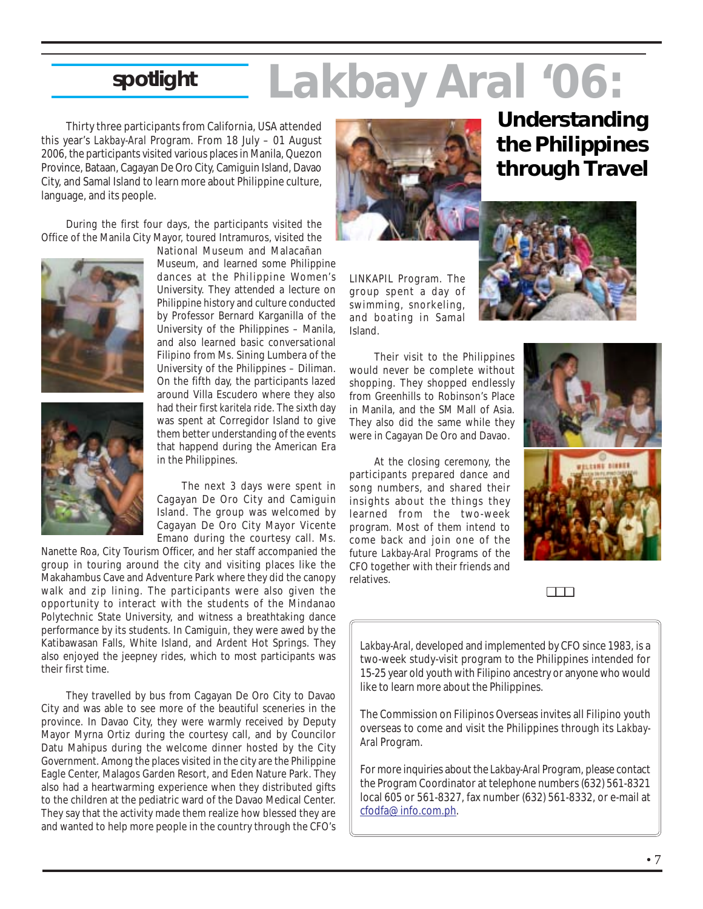# *Lakbay Aral '06:* **spotlight**

Thirty three participants from California, USA attended this year's *Lakbay-Aral* Program. From 18 July – 01 August 2006, the participants visited various places in Manila, Quezon Province, Bataan, Cagayan De Oro City, Camiguin Island, Davao City, and Samal Island to learn more about Philippine culture, language, and its people.

During the first four days, the participants visited the Office of the Manila City Mayor, toured Intramuros, visited the





National Museum and Malacañan Museum, and learned some Philippine dances at the Philippine Women's University. They attended a lecture on Philippine history and culture conducted by Professor Bernard Karganilla of the University of the Philippines – Manila, and also learned basic conversational Filipino from Ms. Sining Lumbera of the University of the Philippines – Diliman. On the fifth day, the participants lazed around Villa Escudero where they also had their first *karitela* ride. The sixth day was spent at Corregidor Island to give them better understanding of the events that happend during the American Era in the Philippines.

The next 3 days were spent in Cagayan De Oro City and Camiguin Island. The group was welcomed by Cagayan De Oro City Mayor Vicente Emano during the courtesy call. Ms.

Nanette Roa, City Tourism Officer, and her staff accompanied the group in touring around the city and visiting places like the Makahambus Cave and Adventure Park where they did the canopy walk and zip lining. The participants were also given the opportunity to interact with the students of the Mindanao Polytechnic State University, and witness a breathtaking dance performance by its students. In Camiguin, they were awed by the Katibawasan Falls, White Island, and Ardent Hot Springs. They also enjoyed the jeepney rides, which to most participants was their first time.

They travelled by bus from Cagayan De Oro City to Davao City and was able to see more of the beautiful sceneries in the province. In Davao City, they were warmly received by Deputy Mayor Myrna Ortiz during the courtesy call, and by Councilor Datu Mahipus during the welcome dinner hosted by the City Government. Among the places visited in the city are the Philippine Eagle Center, Malagos Garden Resort, and Eden Nature Park. They also had a heartwarming experience when they distributed gifts to the children at the pediatric ward of the Davao Medical Center. They say that the activity made them realize how blessed they are and wanted to help more people in the country through the CFO's



LINKAPIL Program. The group spent a day of swimming, snorkeling, and boating in Samal Island.

Their visit to the Philippines would never be complete without shopping. They shopped endlessly from Greenhills to Robinson's Place in Manila, and the SM Mall of Asia. They also did the same while they were in Cagayan De Oro and Davao.

At the closing ceremony, the participants prepared dance and song numbers, and shared their insights about the things they learned from the two-week program. Most of them intend to come back and join one of the future *Lakbay-Aral* Programs of the CFO together with their friends and relatives.

### **Understanding the Philippines through Travel**







❏❏❏

*Lakbay-Aral*, developed and implemented by CFO since 1983, is a two-week study-visit program to the Philippines intended for 15-25 year old youth with Filipino ancestry or anyone who would like to learn more about the Philippines.

The Commission on Filipinos Overseas invites all Filipino youth overseas to come and visit the Philippines through its *Lakbay-Aral* Program.

For more inquiries about the *Lakbay-Aral* Program, please contact the Program Coordinator at telephone numbers (632) 561-8321 local 605 or 561-8327, fax number (632) 561-8332, or e-mail at cfodfa@info.com.ph.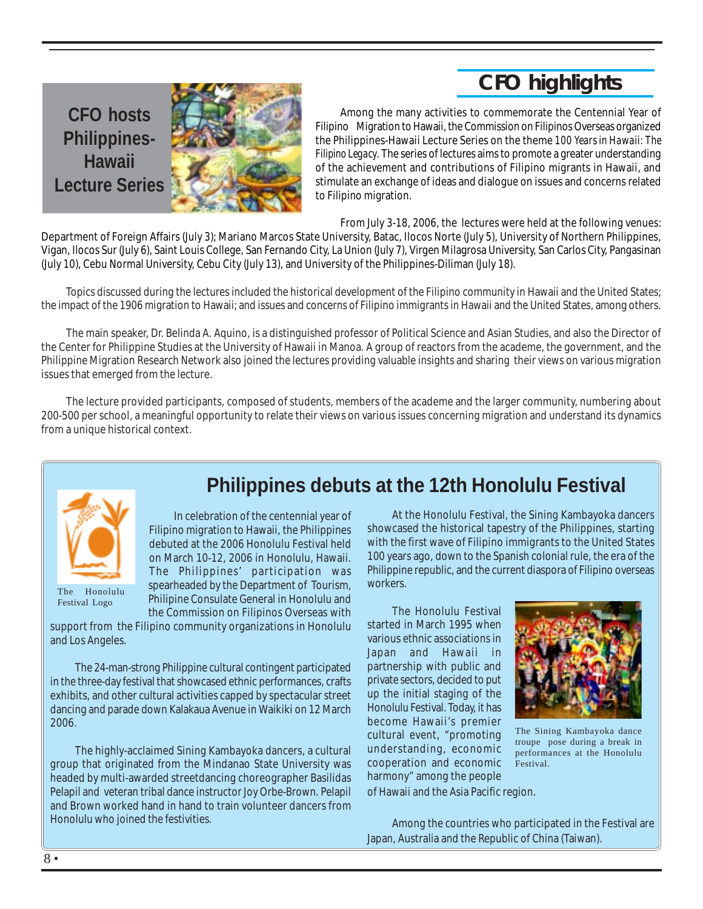### **CFO highlights**

**CFO hosts Philippines-Hawaii Lecture Series**



Among the many activities to commemorate the Centennial Year of Filipino Migration to Hawaii, the Commission on Filipinos Overseas organized the Philippines-Hawaii Lecture Series on the theme *100 Years in Hawaii: The Filipino Legacy*. The series of lectures aims to promote a greater understanding of the achievement and contributions of Filipino migrants in Hawaii, and stimulate an exchange of ideas and dialogue on issues and concerns related to Filipino migration.

From July 3-18, 2006, the lectures were held at the following venues:

Department of Foreign Affairs (July 3); Mariano Marcos State University, Batac, Ilocos Norte (July 5), University of Northern Philippines, Vigan, Ilocos Sur (July 6), Saint Louis College, San Fernando City, La Union (July 7), Virgen Milagrosa University, San Carlos City, Pangasinan (July 10), Cebu Normal University, Cebu City (July 13), and University of the Philippines-Diliman (July 18).

Topics discussed during the lectures included the historical development of the Filipino community in Hawaii and the United States; the impact of the 1906 migration to Hawaii; and issues and concerns of Filipino immigrants in Hawaii and the United States, among others.

The main speaker, Dr. Belinda A. Aquino, is a distinguished professor of Political Science and Asian Studies, and also the Director of the Center for Philippine Studies at the University of Hawaii in Manoa. A group of reactors from the academe, the government, and the Philippine Migration Research Network also joined the lectures providing valuable insights and sharing their views on various migration issues that emerged from the lecture.

The lecture provided participants, composed of students, members of the academe and the larger community, numbering about 200-500 per school, a meaningful opportunity to relate their views on various issues concerning migration and understand its dynamics from a unique historical context.



The Honolulu Festival Logo

**Philippines debuts at the 12th Honolulu Festival**

In celebration of the centennial year of Filipino migration to Hawaii, the Philippines debuted at the 2006 Honolulu Festival held on March 10-12, 2006 in Honolulu, Hawaii. The Philippines' participation was spearheaded by the Department of Tourism, Philipine Consulate General in Honolulu and the Commission on Filipinos Overseas with

support from the Filipino community organizations in Honolulu and Los Angeles.

The 24-man-strong Philippine cultural contingent participated in the three-day festival that showcased ethnic performances, crafts exhibits, and other cultural activities capped by spectacular street dancing and parade down Kalakaua Avenue in Waikiki on 12 March 2006.

The highly-acclaimed Sining Kambayoka dancers, a cultural group that originated from the Mindanao State University was headed by multi-awarded streetdancing choreographer Basilidas Pelapil and veteran tribal dance instructor Joy Orbe-Brown. Pelapil and Brown worked hand in hand to train volunteer dancers from Honolulu who joined the festivities.

At the Honolulu Festival, the Sining Kambayoka dancers showcased the historical tapestry of the Philippines, starting with the first wave of Filipino immigrants to the United States 100 years ago, down to the Spanish colonial rule, the era of the Philippine republic, and the current diaspora of Filipino overseas workers.

The Honolulu Festival started in March 1995 when various ethnic associations in Japan and Hawaii in partnership with public and private sectors, decided to put up the initial staging of the Honolulu Festival. Today, it has become Hawaii's premier cultural event, "promoting understanding, economic cooperation and economic harmony" among the people



The Sining Kambayoka dance troupe pose during a break in performances at the Honolulu Festival.

of Hawaii and the Asia Pacific region.

Among the countries who participated in the Festival are Japan, Australia and the Republic of China (Taiwan).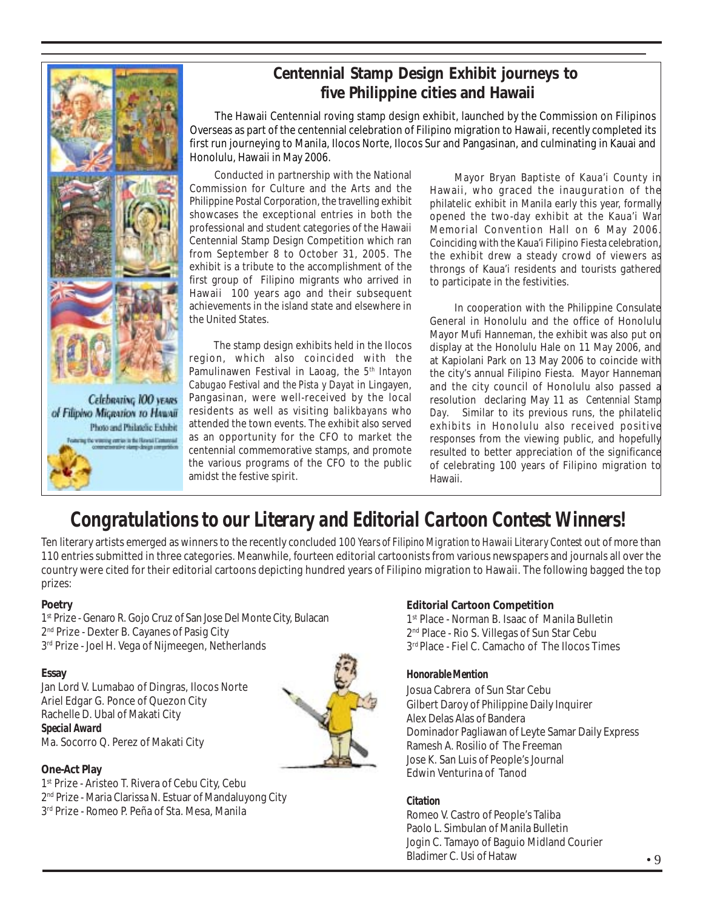

Celebrating 100 years of Filipino Migration to HAWAII Photo and Philatelic Exhibit the comiss in the Housail Common

### **Centennial Stamp Design Exhibit journeys to five Philippine cities and Hawaii**

The Hawaii Centennial roving stamp design exhibit, launched by the Commission on Filipinos Overseas as part of the centennial celebration of Filipino migration to Hawaii, recently completed its first run journeying to Manila, Ilocos Norte, Ilocos Sur and Pangasinan, and culminating in Kauai and Honolulu, Hawaii in May 2006.

Conducted in partnership with the National Commission for Culture and the Arts and the Philippine Postal Corporation, the travelling exhibit showcases the exceptional entries in both the professional and student categories of the Hawaii Centennial Stamp Design Competition which ran from September 8 to October 31, 2005. The exhibit is a tribute to the accomplishment of the first group of Filipino migrants who arrived in Hawaii 100 years ago and their subsequent achievements in the island state and elsewhere in the United States.

The stamp design exhibits held in the Ilocos region, which also coincided with the Pamulinawen Festival in Laoag, the *5th Intayon Cabugao Festival* and *the Pista y Dayat* in Lingayen, Pangasinan, were well-received by the local residents as well as visiting *balikbayans* who attended the town events. The exhibit also served as an opportunity for the CFO to market the centennial commemorative stamps, and promote the various programs of the CFO to the public amidst the festive spirit.

<sup>s and the Hawaii, who graced the inauguration of the<br>ngexhibit philatelic exhibit in Manila early this year, formally</sup> **al entries in both the lingened the two-day exhibit at the Kaua'i War<br>ategories.of the Hawaii lingenerial Convention Hall on 6 May 2006** Coinciding with the Kaua'i Filipino Fiesta celebration,<br>the exhibit drow a steady crowd of viewers as Mayor Bryan Baptiste of Kaua'i County in Hawaii, who graced the inauguration of the Memorial Convention Hall on 6 May 2006. the exhibit drew a steady crowd of viewers as throngs of Kaua'i residents and tourists gathered to participate in the festivities.

> In cooperation with the Philippine Consulate General in Honolulu and the office of Honolulu Mayor Mufi Hanneman, the exhibit was also put on display at the Honolulu Hale on 11 May 2006, and at Kapiolani Park on 13 May 2006 to coincide with the city's annual Filipino Fiesta. Mayor Hanneman and the city council of Honolulu also passed a resolution declaring May 11 as *Centennial Stamp Day*. Similar to its previous runs, the philatelic exhibits in Honolulu also received positive responses from the viewing public, and hopefully resulted to better appreciation of the significance of celebrating 100 years of Filipino migration to Hawaii.

### *Congratulations to our Literary and Editorial Cartoon Contest Winners!*

Ten literary artists emerged as winners to the recently concluded *100 Years of Filipino Migration to Hawaii Literary Contest* out of more than 110 entries submitted in three categories. Meanwhile, fourteen editorial cartoonists from various newspapers and journals all over the country were cited for their editorial cartoons depicting hundred years of Filipino migration to Hawaii. The following bagged the top prizes:

#### **Poetry**

1<sup>st</sup> Prize - Genaro R. Gojo Cruz of San Jose Del Monte City, Bulacan 2<sup>nd</sup> Prize - Dexter B. Cayanes of Pasig City 3<sup>rd</sup> Prize - Joel H. Vega of Nijmeegen, Netherlands

#### **Essay**

Jan Lord V. Lumabao of Dingras, Ilocos Norte Ariel Edgar G. Ponce of Quezon City Rachelle D. Ubal of Makati City *Special Award* Ma. Socorro Q. Perez of Makati City



#### **One-Act Play**

1<sup>st</sup> Prize - Aristeo T. Rivera of Cebu City, Cebu 2<sup>nd</sup> Prize - Maria Clarissa N. Estuar of Mandaluyong City 3rd Prize - Romeo P. Peña of Sta. Mesa, Manila

#### **Editorial Cartoon Competition**

1<sup>st</sup> Place - Norman B. Isaac of Manila Bulletin 2<sup>nd</sup> Place - Rio S. Villegas of Sun Star Cebu 3<sup>rd</sup> Place - Fiel C. Camacho of The Ilocos Times

#### *Honorable Mention*

Josua Cabrera of Sun Star Cebu Gilbert Daroy of Philippine Daily Inquirer Alex Delas Alas of Bandera Dominador Pagliawan of Leyte Samar Daily Express Ramesh A. Rosilio of The Freeman Jose K. San Luis of People's Journal Edwin Venturina of Tanod

#### *Citation*

Romeo V. Castro of People's Taliba Paolo L. Simbulan of Manila Bulletin Jogin C. Tamayo of Baguio Midland Courier Bladimer C. Usi of Hataw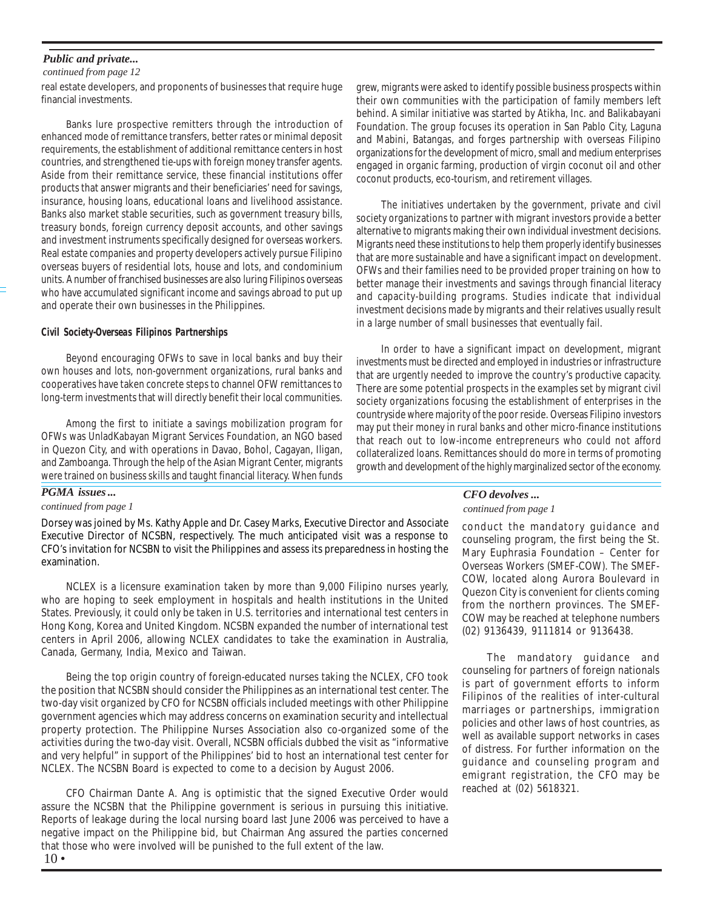#### *Public and private...*

#### *continued from page 12*

real estate developers, and proponents of businesses that require huge financial investments.

Banks lure prospective remitters through the introduction of enhanced mode of remittance transfers, better rates or minimal deposit requirements, the establishment of additional remittance centers in host countries, and strengthened tie-ups with foreign money transfer agents. Aside from their remittance service, these financial institutions offer products that answer migrants and their beneficiaries' need for savings, insurance, housing loans, educational loans and livelihood assistance. Banks also market stable securities, such as government treasury bills, treasury bonds, foreign currency deposit accounts, and other savings and investment instruments specifically designed for overseas workers. Real estate companies and property developers actively pursue Filipino overseas buyers of residential lots, house and lots, and condominium units. A number of franchised businesses are also luring Filipinos overseas who have accumulated significant income and savings abroad to put up and operate their own businesses in the Philippines.

#### *Civil Society-Overseas Filipinos Partnerships*

Beyond encouraging OFWs to save in local banks and buy their own houses and lots, non-government organizations, rural banks and cooperatives have taken concrete steps to channel OFW remittances to long-term investments that will directly benefit their local communities.

Among the first to initiate a savings mobilization program for OFWs was UnladKabayan Migrant Services Foundation, an NGO based in Quezon City, and with operations in Davao, Bohol, Cagayan, Iligan, and Zamboanga. Through the help of the Asian Migrant Center, migrants were trained on business skills and taught financial literacy. When funds

#### *PGMA issues ...*

#### *continued from page 1*

Dorsey was joined by Ms. Kathy Apple and Dr. Casey Marks, Executive Director and Associate Executive Director of NCSBN, respectively. The much anticipated visit was a response to CFO's invitation for NCSBN to visit the Philippines and assess its preparedness in hosting the examination.

NCLEX is a licensure examination taken by more than 9,000 Filipino nurses yearly, who are hoping to seek employment in hospitals and health institutions in the United States. Previously, it could only be taken in U.S. territories and international test centers in Hong Kong, Korea and United Kingdom. NCSBN expanded the number of international test centers in April 2006, allowing NCLEX candidates to take the examination in Australia, Canada, Germany, India, Mexico and Taiwan.

Being the top origin country of foreign-educated nurses taking the NCLEX, CFO took the position that NCSBN should consider the Philippines as an international test center. The two-day visit organized by CFO for NCSBN officials included meetings with other Philippine government agencies which may address concerns on examination security and intellectual property protection. The Philippine Nurses Association also co-organized some of the activities during the two-day visit. Overall, NCSBN officials dubbed the visit as "informative and very helpful" in support of the Philippines' bid to host an international test center for NCLEX. The NCSBN Board is expected to come to a decision by August 2006.

CFO Chairman Dante A. Ang is optimistic that the signed Executive Order would assure the NCSBN that the Philippine government is serious in pursuing this initiative. Reports of leakage during the local nursing board last June 2006 was perceived to have a negative impact on the Philippine bid, but Chairman Ang assured the parties concerned that those who were involved will be punished to the full extent of the law.

grew, migrants were asked to identify possible business prospects within their own communities with the participation of family members left behind. A similar initiative was started by Atikha, Inc. and Balikabayani Foundation. The group focuses its operation in San Pablo City, Laguna and Mabini, Batangas, and forges partnership with overseas Filipino organizations for the development of micro, small and medium enterprises engaged in organic farming, production of virgin coconut oil and other coconut products, eco-tourism, and retirement villages.

The initiatives undertaken by the government, private and civil society organizations to partner with migrant investors provide a better alternative to migrants making their own individual investment decisions. Migrants need these institutions to help them properly identify businesses that are more sustainable and have a significant impact on development. OFWs and their families need to be provided proper training on how to better manage their investments and savings through financial literacy and capacity-building programs. Studies indicate that individual investment decisions made by migrants and their relatives usually result in a large number of small businesses that eventually fail.

In order to have a significant impact on development, migrant investments must be directed and employed in industries or infrastructure that are urgently needed to improve the country's productive capacity. There are some potential prospects in the examples set by migrant civil society organizations focusing the establishment of enterprises in the countryside where majority of the poor reside. Overseas Filipino investors may put their money in rural banks and other micro-finance institutions that reach out to low-income entrepreneurs who could not afford collateralized loans. Remittances should do more in terms of promoting growth and development of the highly marginalized sector of the economy.

#### *CFO devolves ...*

#### *continued from page 1*

conduct the mandatory guidance and counseling program, the first being the St. Mary Euphrasia Foundation – Center for Overseas Workers (SMEF-COW). The SMEF-COW, located along Aurora Boulevard in Quezon City is convenient for clients coming from the northern provinces. The SMEF-COW may be reached at telephone numbers (02) 9136439, 9111814 or 9136438.

The mandatory guidance and counseling for partners of foreign nationals is part of government efforts to inform Filipinos of the realities of inter-cultural marriages or partnerships, immigration policies and other laws of host countries, as well as available support networks in cases of distress. For further information on the guidance and counseling program and emigrant registration, the CFO may be reached at (02) 5618321.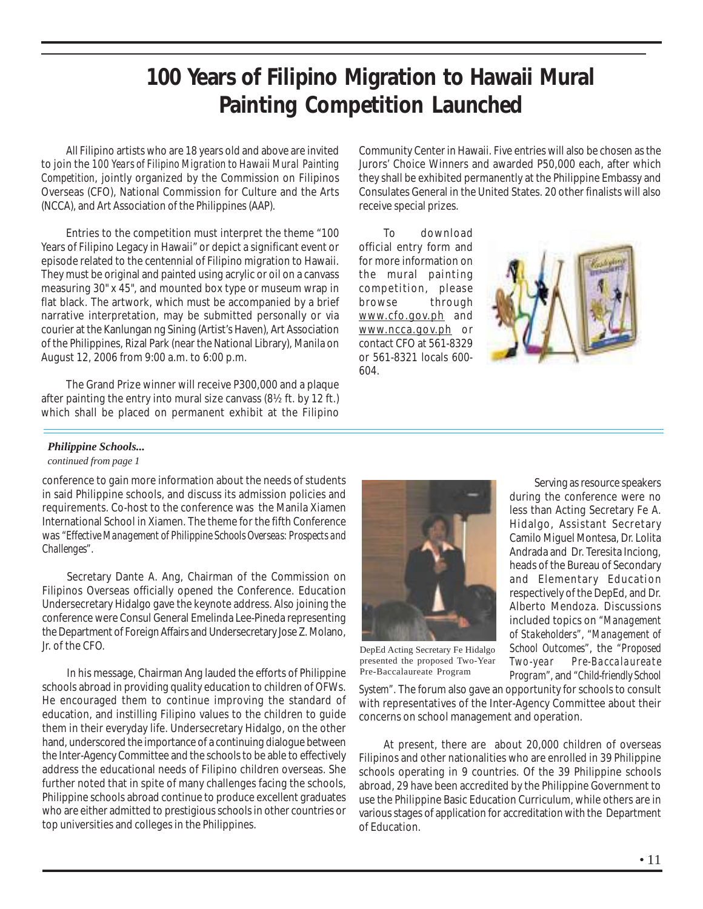### **100 Years of Filipino Migration to Hawaii Mural Painting Competition Launched**

All Filipino artists who are 18 years old and above are invited to join the *100 Years of Filipino Migration to Hawaii Mural Painting Competition*, jointly organized by the Commission on Filipinos Overseas (CFO), National Commission for Culture and the Arts (NCCA), and Art Association of the Philippines (AAP).

Entries to the competition must interpret the theme "100 Years of Filipino Legacy in Hawaii" or depict a significant event or episode related to the centennial of Filipino migration to Hawaii. They must be original and painted using acrylic or oil on a canvass measuring 30" x 45", and mounted box type or museum wrap in flat black. The artwork, which must be accompanied by a brief narrative interpretation, may be submitted personally or via courier at the Kanlungan ng Sining (Artist's Haven), Art Association of the Philippines, Rizal Park (near the National Library), Manila on August 12, 2006 from 9:00 a.m. to 6:00 p.m.

The Grand Prize winner will receive P300,000 and a plaque after painting the entry into mural size canvass (8½ ft. by 12 ft.) which shall be placed on permanent exhibit at the Filipino Community Center in Hawaii. Five entries will also be chosen as the Jurors' Choice Winners and awarded P50,000 each, after which they shall be exhibited permanently at the Philippine Embassy and Consulates General in the United States. 20 other finalists will also receive special prizes.

To download official entry form and for more information on the mural painting competition, please browse through www.cfo.gov.ph and www.ncca.gov.ph or contact CFO at 561-8329 or 561-8321 locals 600- 604.



#### *Philippine Schools...*

#### *continued from page 1*

conference to gain more information about the needs of students in said Philippine schools, and discuss its admission policies and requirements. Co-host to the conference was the Manila Xiamen International School in Xiamen. The theme for the fifth Conference was *"Effective Management of Philippine Schools Overseas: Prospects and Challenges"*.

Secretary Dante A. Ang, Chairman of the Commission on Filipinos Overseas officially opened the Conference. Education Undersecretary Hidalgo gave the keynote address. Also joining the conference were Consul General Emelinda Lee-Pineda representing the Department of Foreign Affairs and Undersecretary Jose Z. Molano, Jr. of the CFO.

In his message, Chairman Ang lauded the efforts of Philippine schools abroad in providing quality education to children of OFWs. He encouraged them to continue improving the standard of education, and instilling Filipino values to the children to guide them in their everyday life. Undersecretary Hidalgo, on the other hand, underscored the importance of a continuing dialogue between the Inter-Agency Committee and the schools to be able to effectively address the educational needs of Filipino children overseas. She further noted that in spite of many challenges facing the schools, Philippine schools abroad continue to produce excellent graduates who are either admitted to prestigious schools in other countries or top universities and colleges in the Philippines.



DepEd Acting Secretary Fe Hidalgo presented the proposed Two-Year Pre-Baccalaureate Program

*System"*. The forum also gave an opportunity for schools to consult with representatives of the Inter-Agency Committee about their concerns on school management and operation.

At present, there are about 20,000 children of overseas Filipinos and other nationalities who are enrolled in 39 Philippine schools operating in 9 countries. Of the 39 Philippine schools abroad, 29 have been accredited by the Philippine Government to use the Philippine Basic Education Curriculum, while others are in various stages of application for accreditation with the Department of Education.

Serving as resource speakers during the conference were no less than Acting Secretary Fe A. Hidalgo, Assistant Secretary Camilo Miguel Montesa, Dr. Lolita Andrada and Dr. Teresita Inciong, heads of the Bureau of Secondary and Elementary Education respectively of the DepEd, and Dr. Alberto Mendoza. Discussions included topics on *"Management of Stakeholders"*, *"Management of School Outcomes"*, the *"Proposed Two-year Pre-Baccalaureate Program"*, and *"Child-friendly School*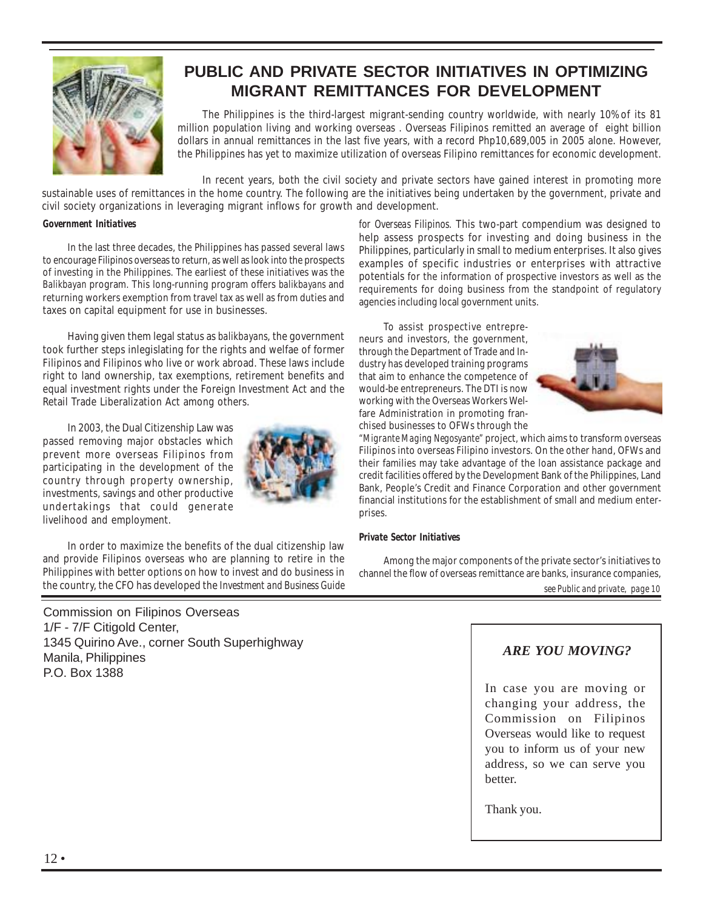

### **PUBLIC AND PRIVATE SECTOR INITIATIVES IN OPTIMIZING MIGRANT REMITTANCES FOR DEVELOPMENT**

The Philippines is the third-largest migrant-sending country worldwide, with nearly 10% of its 81 million population living and working overseas . Overseas Filipinos remitted an average of eight billion dollars in annual remittances in the last five years, with a record Php10,689,005 in 2005 alone. However, the Philippines has yet to maximize utilization of overseas Filipino remittances for economic development.

In recent years, both the civil society and private sectors have gained interest in promoting more

sustainable uses of remittances in the home country. The following are the initiatives being undertaken by the government, private and civil society organizations in leveraging migrant inflows for growth and development.

#### *Government Initiatives*

In the last three decades, the Philippines has passed several laws to encourage Filipinos overseas to return, as well as look into the prospects of investing in the Philippines. The earliest of these initiatives was the *Balikbayan* program. This long-running program offers *balikbayans* and returning workers exemption from travel tax as well as from duties and taxes on capital equipment for use in businesses.

Having given them legal status as *balikbayans*, the government took further steps inlegislating for the rights and welfae of former Filipinos and Filipinos who live or work abroad. These laws include right to land ownership, tax exemptions, retirement benefits and equal investment rights under the Foreign Investment Act and the Retail Trade Liberalization Act among others.

In 2003, the Dual Citizenship Law was passed removing major obstacles which prevent more overseas Filipinos from participating in the development of the country through property ownership, investments, savings and other productive undertakings that could generate livelihood and employment.



In order to maximize the benefits of the dual citizenship law and provide Filipinos overseas who are planning to retire in the Philippines with better options on how to invest and do business in the country, the CFO has developed the *Investment and Business Guide*

Commission on Filipinos Overseas 1/F - 7/F Citigold Center, 1345 Quirino Ave., corner South Superhighway Manila, Philippines P.O. Box 1388

*for Overseas Filipinos.* This two-part compendium was designed to help assess prospects for investing and doing business in the Philippines, particularly in small to medium enterprises. It also gives examples of specific industries or enterprises with attractive potentials for the information of prospective investors as well as the requirements for doing business from the standpoint of regulatory agencies including local government units.

To assist prospective entrepreneurs and investors, the government, through the Department of Trade and Industry has developed training programs that aim to enhance the competence of would-be entrepreneurs. The DTI is now working with the Overseas Workers Welfare Administration in promoting franchised businesses to OFWs through the



*"Migrante Maging Negosyante"* project, which aims to transform overseas Filipinos into overseas Filipino investors. On the other hand, OFWs and their families may take advantage of the loan assistance package and credit facilities offered by the Development Bank of the Philippines, Land Bank, People's Credit and Finance Corporation and other government financial institutions for the establishment of small and medium enterprises.

#### *Private Sector Initiatives*

*see Public and private, page 10* Among the major components of the private sector's initiatives to channel the flow of overseas remittance are banks, insurance companies,

#### *ARE YOU MOVING?*

In case you are moving or changing your address, the Commission on Filipinos Overseas would like to request you to inform us of your new address, so we can serve you better.

Thank you.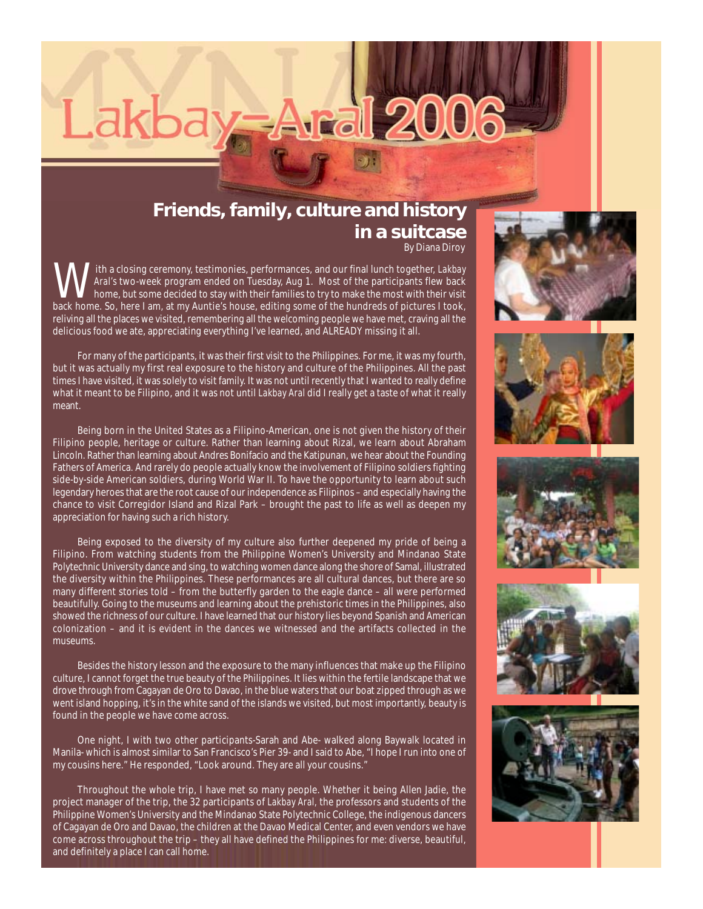## Lakb **ral 2006**

#### By Diana Diroy **Friends, family, culture and history in a suitcase**

With a closing ceremony, testimonies, performances, and our final lunch together, *Lakbay Aral's* two-week program ended on Tuesday, Aug 1. Most of the participants flew back home, but some decided to stay with their families to try to make the most with their visit back home. So, here I am, at my Auntie's house, editing some of the hundreds of pictures I took, reliving all the places we visited, remembering all the welcoming people we have met, craving all the delicious food we ate, appreciating everything I've learned, and ALREADY missing it all.

For many of the participants, it was their first visit to the Philippines. For me, it was my fourth, but it was actually my first real exposure to the history and culture of the Philippines. All the past times I have visited, it was solely to visit family. It was not until recently that I wanted to really define what it meant to be Filipino, and it was not until *Lakbay Aral* did I really get a taste of what it really meant.

Being born in the United States as a Filipino-American, one is not given the history of their Filipino people, heritage or culture. Rather than learning about Rizal, we learn about Abraham Lincoln. Rather than learning about Andres Bonifacio and the Katipunan, we hear about the Founding Fathers of America. And rarely do people actually know the involvement of Filipino soldiers fighting side-by-side American soldiers, during World War II. To have the opportunity to learn about such legendary heroes that are the root cause of our independence as Filipinos – and especially having the chance to visit Corregidor Island and Rizal Park – brought the past to life as well as deepen my appreciation for having such a rich history.

Being exposed to the diversity of my culture also further deepened my pride of being a Filipino. From watching students from the Philippine Women's University and Mindanao State Polytechnic University dance and sing, to watching women dance along the shore of Samal, illustrated the diversity within the Philippines. These performances are all cultural dances, but there are so many different stories told – from the butterfly garden to the eagle dance – all were performed beautifully. Going to the museums and learning about the prehistoric times in the Philippines, also showed the richness of our culture. I have learned that our history lies beyond Spanish and American colonization – and it is evident in the dances we witnessed and the artifacts collected in the museums.

Besides the history lesson and the exposure to the many influences that make up the Filipino culture, I cannot forget the true beauty of the Philippines. It lies within the fertile landscape that we drove through from Cagayan de Oro to Davao, in the blue waters that our boat zipped through as we went island hopping, it's in the white sand of the islands we visited, but most importantly, beauty is found in the people we have come across.

One night, I with two other participants-Sarah and Abe- walked along Baywalk located in Manila- which is almost similar to San Francisco's Pier 39- and I said to Abe, "I hope I run into one of my cousins here." He responded, "Look around. They are all your cousins."

Throughout the whole trip, I have met so many people. Whether it being Allen Jadie, the project manager of the trip, the 32 participants of *Lakbay Aral,* the professors and students of the Philippine Women's University and the Mindanao State Polytechnic College, the indigenous dancers of Cagayan de Oro and Davao, the children at the Davao Medical Center, and even vendors we have come across throughout the trip – they all have defined the Philippines for me: diverse, beautiful, and definitely a place I can call home.